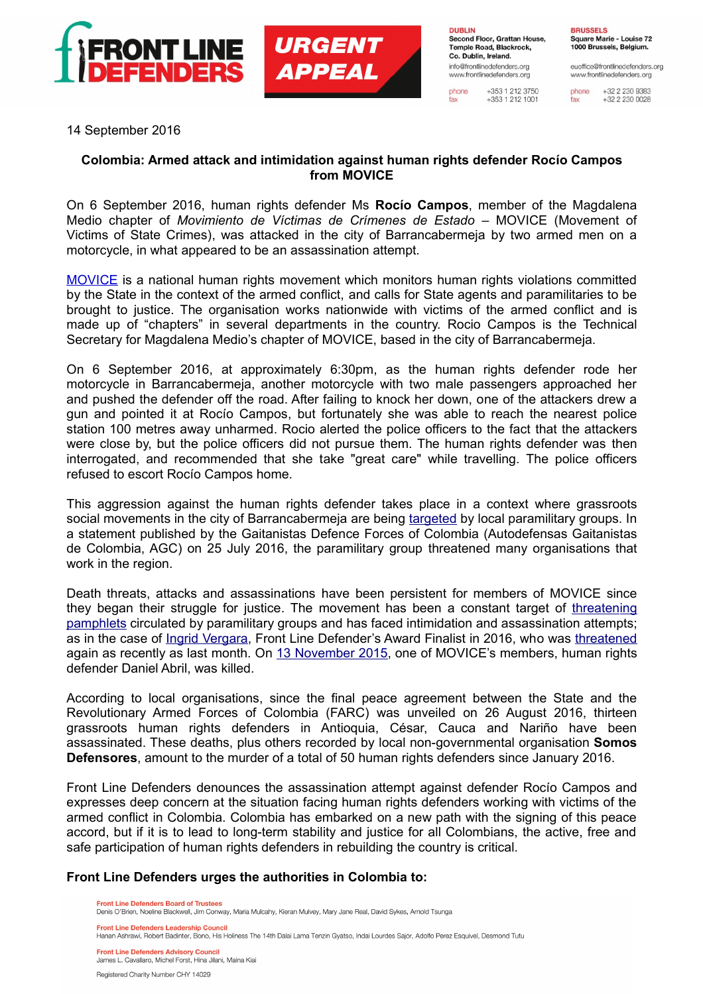

**URGENT APPEAL** 

**DUBLIN** Second Floor, Grattan House, Temple Road, Blackrock, Co. Dublin, Ireland. info@frontlinedefenders.org www.frontlinedefenders.org

phone  $+353$  1 212 3750  $+353$  1 212 1001 **BRUSSELS** Square Marie - Louise 72 1000 Brussels, Belgium.

euoffice@frontlinedefenders.org www.frontlinedefenders.org

phone +32 2 230 9383  $+3222300028$ 

14 September 2016

## **Colombia: Armed attack and intimidation against human rights defender Rocío Campos from MOVICE**

On 6 September 2016, human rights defender Ms **Rocío Campos**, member of the Magdalena Medio chapter of *Movimiento de Víctimas de Crímenes de Estado* – MOVICE (Movement of Victims of State Crimes), was attacked in the city of Barrancabermeja by two armed men on a motorcycle, in what appeared to be an assassination attempt.

[MOVICE](https://www.frontlinedefenders.org/en/profile/movice) is a national human rights movement which monitors human rights violations committed by the State in the context of the armed conflict, and calls for State agents and paramilitaries to be brought to justice. The organisation works nationwide with victims of the armed conflict and is made up of "chapters" in several departments in the country. Rocio Campos is the Technical Secretary for Magdalena Medio's chapter of MOVICE, based in the city of Barrancabermeja.

On 6 September 2016, at approximately 6:30pm, as the human rights defender rode her motorcycle in Barrancabermeja, another motorcycle with two male passengers approached her and pushed the defender off the road. After failing to knock her down, one of the attackers drew a gun and pointed it at Rocío Campos, but fortunately she was able to reach the nearest police station 100 metres away unharmed. Rocio alerted the police officers to the fact that the attackers were close by, but the police officers did not pursue them. The human rights defender was then interrogated, and recommended that she take "great care" while travelling. The police officers refused to escort Rocío Campos home.

This aggression against the human rights defender takes place in a context where grassroots social movements in the city of Barrancabermeja are being [targeted](https://www.frontlinedefenders.org/en/case/case-history-iv%C3%A1n-madero-vergel#case-update-id-4116) by local paramilitary groups. In a statement published by the Gaitanistas Defence Forces of Colombia (Autodefensas Gaitanistas de Colombia, AGC) on 25 July 2016, the paramilitary group threatened many organisations that work in the region.

Death threats, attacks and assassinations have been persistent for members of MOVICE since they began their struggle for justice. The movement has been a constant target of [threatening](https://www.frontlinedefenders.org/en/case/threatening-pamphlets-against-movice) [pamphlets](https://www.frontlinedefenders.org/en/case/threatening-pamphlets-against-movice) circulated by paramilitary groups and has faced intimidation and assassination attempts; as in the case of [Ingrid Vergara,](https://www.frontlinedefenders.org/en/case/case-history-ingrid-vergara-chavez) Front Line Defender's Award Finalist in 2016, who was [threatened](http://www.movimientodevictimas.org/?q=content/denuncia-p%C3%BAblica-nuevas-amenazas-contra-la-defensora-de-derechos-humanos-en-sucre-ingrid) again as recently as last month. On [13 November 2015,](https://www.frontlinedefenders.org/en/case/case-history-daniel-abril) one of MOVICE's members, human rights defender Daniel Abril, was killed.

According to local organisations, since the final peace agreement between the State and the Revolutionary Armed Forces of Colombia (FARC) was unveiled on 26 August 2016, thirteen grassroots human rights defenders in Antioquia, César, Cauca and Nariño have been assassinated. These deaths, plus others recorded by local non-governmental organisation **Somos Defensores**, amount to the murder of a total of 50 human rights defenders since January 2016.

Front Line Defenders denounces the assassination attempt against defender Rocío Campos and expresses deep concern at the situation facing human rights defenders working with victims of the armed conflict in Colombia. Colombia has embarked on a new path with the signing of this peace accord, but if it is to lead to long-term stability and justice for all Colombians, the active, free and safe participation of human rights defenders in rebuilding the country is critical.

## **Front Line Defenders urges the authorities in Colombia to:**

**Front Line Defenders Board of Trustees** Denis O'Brien, Noeline Blackwell, Jim Conway, Maria Mulcahy, Kieran Mulvey, Mary Jane Real, David Sykes, Arnold Tsunga

**Front Line Defenders Leadership Council** 

**Front Line Defenders Advisory Council** James L. Cavallaro, Michel Forst, Hina Jilani, Maina Kiai

Registered Charity Number CHY 14029